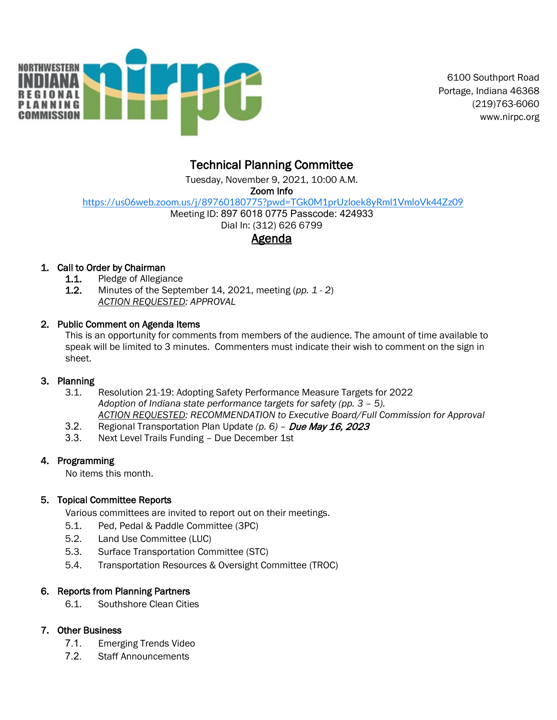

 6100 Southport Road Portage, Indiana 46368 (219)763-6060 www.nirpc.org

## Technical Planning Committee

Tuesday, November 9, 2021, 10:00 A.M.

Zoom Info

<https://us06web.zoom.us/j/89760180775?pwd=TGk0M1prUzloek8yRml1VmloVk44Zz09>

Meeting ID: 897 6018 0775 Passcode: 424933

# Dial In: (312) 626 6799

## Agenda

### 1. Call to Order by Chairman

- **1.1.** Pledge of Allegiance<br>**1.2.** Minutes of the Septe
- Minutes of the September 14, 2021, meeting (*pp. 1 2*) *ACTION REQUESTED: APPROVAL*

### 2. Public Comment on Agenda Items

This is an opportunity for comments from members of the audience. The amount of time available to speak will be limited to 3 minutes. Commenters must indicate their wish to comment on the sign in sheet.

### 3. Planning

- 3.1. Resolution 21-19: Adopting Safety Performance Measure Targets for 2022 *Adoption of Indiana state performance targets for safety (pp. 3 – 5). ACTION REQUESTED: RECOMMENDATION to Executive Board/Full Commission for Approval*
- 3.2. Regional Transportation Plan Update *(p. 6)* Due May 16, 2023
- 3.3. Next Level Trails Funding Due December 1st

### 4. Programming

No items this month.

### 5. Topical Committee Reports

Various committees are invited to report out on their meetings.

- 5.1. Ped, Pedal & Paddle Committee (3PC)
- 5.2. Land Use Committee (LUC)
- 5.3. Surface Transportation Committee (STC)
- 5.4. Transportation Resources & Oversight Committee (TROC)

### 6. Reports from Planning Partners

6.1. Southshore Clean Cities

### 7. Other Business

- 7.1. Emerging Trends Video
- 7.2. Staff Announcements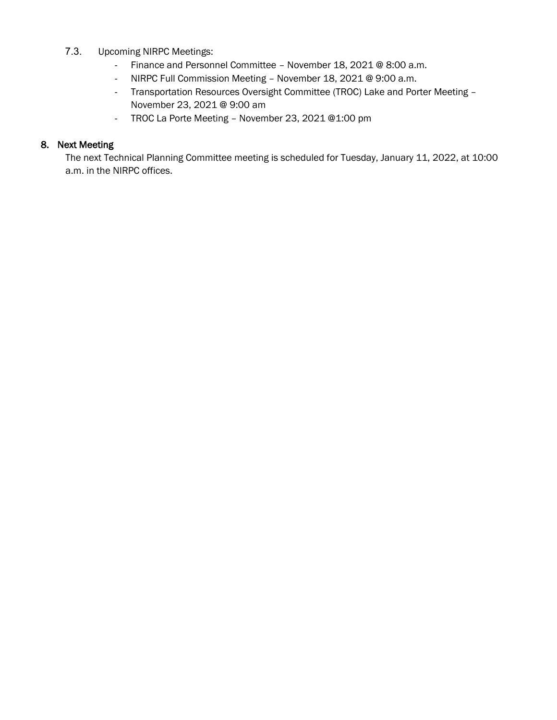- 7.3. Upcoming NIRPC Meetings:
	- Finance and Personnel Committee November 18, 2021 @ 8:00 a.m.
	- NIRPC Full Commission Meeting November 18, 2021 @ 9:00 a.m.
	- Transportation Resources Oversight Committee (TROC) Lake and Porter Meeting November 23, 2021 @ 9:00 am
	- TROC La Porte Meeting November 23, 2021 @1:00 pm

#### 8. Next Meeting

The next Technical Planning Committee meeting is scheduled for Tuesday, January 11, 2022, at 10:00 a.m. in the NIRPC offices.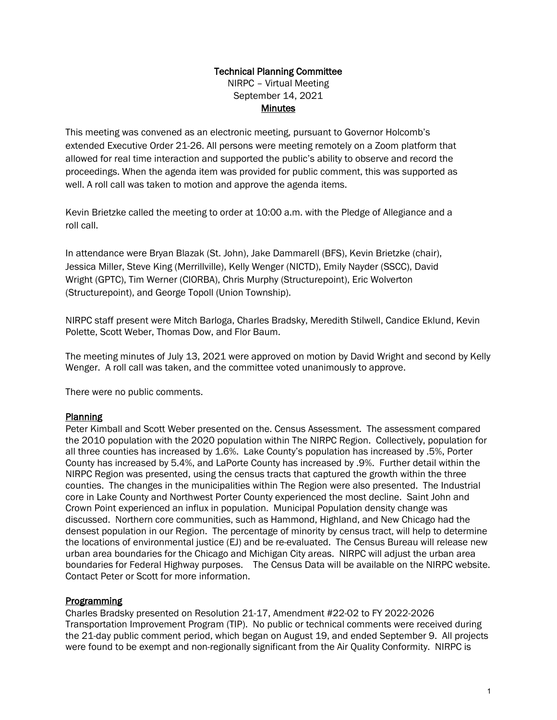## Technical Planning Committee

NIRPC – Virtual Meeting September 14, 2021 **Minutes** 

This meeting was convened as an electronic meeting, pursuant to Governor Holcomb's extended Executive Order 21-26. All persons were meeting remotely on a Zoom platform that allowed for real time interaction and supported the public's ability to observe and record the proceedings. When the agenda item was provided for public comment, this was supported as well. A roll call was taken to motion and approve the agenda items.

Kevin Brietzke called the meeting to order at 10:00 a.m. with the Pledge of Allegiance and a roll call.

In attendance were Bryan Blazak (St. John), Jake Dammarell (BFS), Kevin Brietzke (chair), Jessica Miller, Steve King (Merrillville), Kelly Wenger (NICTD), Emily Nayder (SSCC), David Wright (GPTC), Tim Werner (CIORBA), Chris Murphy (Structurepoint), Eric Wolverton (Structurepoint), and George Topoll (Union Township).

NIRPC staff present were Mitch Barloga, Charles Bradsky, Meredith Stilwell, Candice Eklund, Kevin Polette, Scott Weber, Thomas Dow, and Flor Baum.

The meeting minutes of July 13, 2021 were approved on motion by David Wright and second by Kelly Wenger. A roll call was taken, and the committee voted unanimously to approve.

There were no public comments.

#### Planning

Peter Kimball and Scott Weber presented on the. Census Assessment. The assessment compared the 2010 population with the 2020 population within The NIRPC Region. Collectively, population for all three counties has increased by 1.6%. Lake County's population has increased by .5%, Porter County has increased by 5.4%, and LaPorte County has increased by .9%. Further detail within the NIRPC Region was presented, using the census tracts that captured the growth within the three counties. The changes in the municipalities within The Region were also presented. The Industrial core in Lake County and Northwest Porter County experienced the most decline. Saint John and Crown Point experienced an influx in population. Municipal Population density change was discussed. Northern core communities, such as Hammond, Highland, and New Chicago had the densest population in our Region. The percentage of minority by census tract, will help to determine the locations of environmental justice (EJ) and be re-evaluated. The Census Bureau will release new urban area boundaries for the Chicago and Michigan City areas. NIRPC will adjust the urban area boundaries for Federal Highway purposes. The Census Data will be available on the NIRPC website. Contact Peter or Scott for more information.

#### Programming

Charles Bradsky presented on Resolution 21-17, Amendment #22-02 to FY 2022-2026 Transportation Improvement Program (TIP). No public or technical comments were received during the 21-day public comment period, which began on August 19, and ended September 9. All projects were found to be exempt and non-regionally significant from the Air Quality Conformity. NIRPC is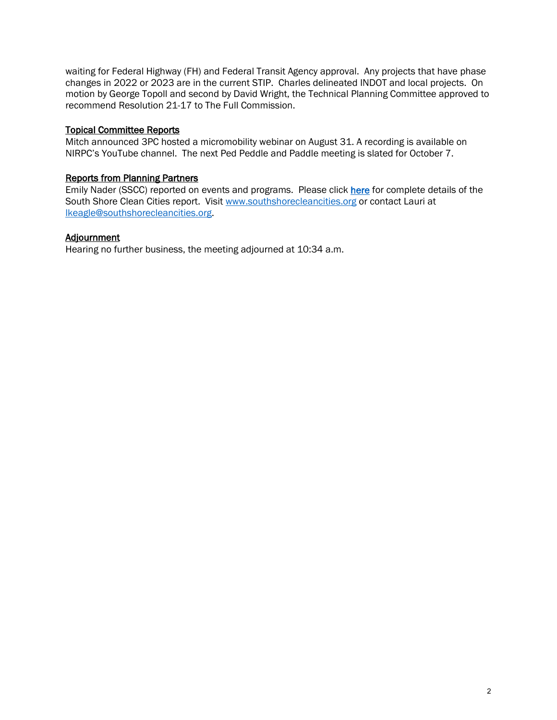waiting for Federal Highway (FH) and Federal Transit Agency approval. Any projects that have phase changes in 2022 or 2023 are in the current STIP. Charles delineated INDOT and local projects. On motion by George Topoll and second by David Wright, the Technical Planning Committee approved to recommend Resolution 21-17 to The Full Commission.

#### Topical Committee Reports

Mitch announced 3PC hosted a micromobility webinar on August 31. A recording is available on NIRPC's YouTube channel. The next Ped Peddle and Paddle meeting is slated for October 7.

#### Reports from Planning Partners

Emily Nader (SSCC) reported on events and programs. Please click [here](https://files.constantcontact.com/b4f049b7201/f12784e4-a114-40f0-9fc5-76c869762b2b.pdf) for complete details of the South Shore Clean Cities report. Visit [www.southshorecleancities.org](http://www.southshorecleancities.org/) or contact Lauri at [lkeagle@southshorecleancities.org.](mailto:lkeagle@southshorecleancities.org)

#### Adjournment

Hearing no further business, the meeting adjourned at 10:34 a.m.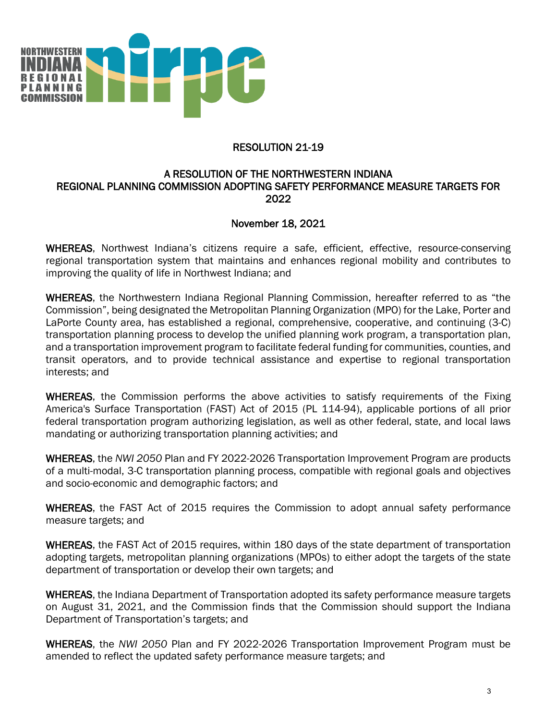

#### RESOLUTION 21-19

#### A RESOLUTION OF THE NORTHWESTERN INDIANA REGIONAL PLANNING COMMISSION ADOPTING SAFETY PERFORMANCE MEASURE TARGETS FOR 2022

#### November 18, 2021

WHEREAS, Northwest Indiana's citizens require a safe, efficient, effective, resource-conserving regional transportation system that maintains and enhances regional mobility and contributes to improving the quality of life in Northwest Indiana; and

WHEREAS, the Northwestern Indiana Regional Planning Commission, hereafter referred to as "the Commission", being designated the Metropolitan Planning Organization (MPO) for the Lake, Porter and LaPorte County area, has established a regional, comprehensive, cooperative, and continuing (3-C) transportation planning process to develop the unified planning work program, a transportation plan, and a transportation improvement program to facilitate federal funding for communities, counties, and transit operators, and to provide technical assistance and expertise to regional transportation interests; and

WHEREAS, the Commission performs the above activities to satisfy requirements of the Fixing America's Surface Transportation (FAST) Act of 2015 (PL 114-94), applicable portions of all prior federal transportation program authorizing legislation, as well as other federal, state, and local laws mandating or authorizing transportation planning activities; and

WHEREAS, the *NWI 2050* Plan and FY 2022-2026 Transportation Improvement Program are products of a multi-modal, 3-C transportation planning process, compatible with regional goals and objectives and socio-economic and demographic factors; and

WHEREAS, the FAST Act of 2015 requires the Commission to adopt annual safety performance measure targets; and

WHEREAS, the FAST Act of 2015 requires, within 180 days of the state department of transportation adopting targets, metropolitan planning organizations (MPOs) to either adopt the targets of the state department of transportation or develop their own targets; and

WHEREAS, the Indiana Department of Transportation adopted its safety performance measure targets on August 31, 2021, and the Commission finds that the Commission should support the Indiana Department of Transportation's targets; and

WHEREAS, the *NWI 2050* Plan and FY 2022-2026 Transportation Improvement Program must be amended to reflect the updated safety performance measure targets; and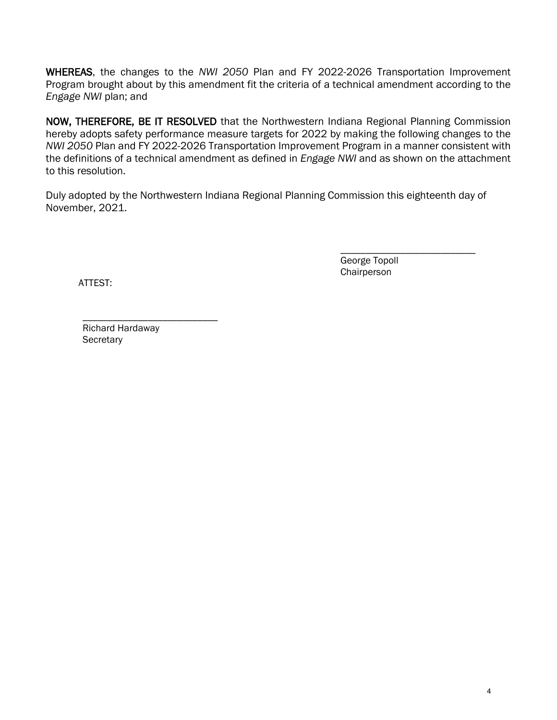WHEREAS, the changes to the *NWI 2050* Plan and FY 2022-2026 Transportation Improvement Program brought about by this amendment fit the criteria of a technical amendment according to the *Engage NWI* plan; and

NOW, THEREFORE, BE IT RESOLVED that the Northwestern Indiana Regional Planning Commission hereby adopts safety performance measure targets for 2022 by making the following changes to the *NWI 2050* Plan and FY 2022-2026 Transportation Improvement Program in a manner consistent with the definitions of a technical amendment as defined in *Engage NWI* and as shown on the attachment to this resolution.

Duly adopted by the Northwestern Indiana Regional Planning Commission this eighteenth day of November, 2021.

> \_\_\_\_\_\_\_\_\_\_\_\_\_\_\_\_\_\_\_\_\_\_\_\_\_\_\_ George Topoll **Chairperson**

ATTEST:

\_\_\_\_\_\_\_\_\_\_\_\_\_\_\_\_\_\_\_\_\_\_\_\_\_\_\_ Richard Hardaway **Secretary**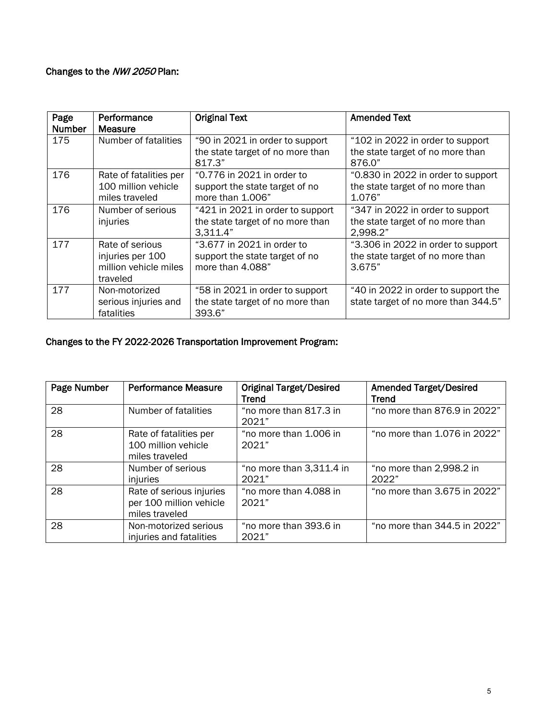### Changes to the NWI 2050 Plan:

| Page          | Performance            | <b>Original Text</b>             | <b>Amended Text</b>                 |
|---------------|------------------------|----------------------------------|-------------------------------------|
| <b>Number</b> | Measure                |                                  |                                     |
| 175           | Number of fatalities   | "90 in 2021 in order to support  | "102 in 2022 in order to support    |
|               |                        | the state target of no more than | the state target of no more than    |
|               |                        | 817.3"                           | 876.0"                              |
| 176           | Rate of fatalities per | "0.776 in 2021 in order to       | "0.830 in 2022 in order to support  |
|               | 100 million vehicle    | support the state target of no   | the state target of no more than    |
|               | miles traveled         | more than 1.006"                 | 1.076"                              |
| 176           | Number of serious      | "421 in 2021 in order to support | "347 in 2022 in order to support    |
|               | injuries               | the state target of no more than | the state target of no more than    |
|               |                        | 3.311.4"                         | 2,998.2"                            |
| 177           | Rate of serious        | "3.677 in 2021 in order to       | "3.306 in 2022 in order to support  |
|               | injuries per 100       | support the state target of no   | the state target of no more than    |
|               | million vehicle miles  | more than 4.088"                 | 3.675"                              |
|               | traveled               |                                  |                                     |
| 177           | Non-motorized          | "58 in 2021 in order to support  | "40 in 2022 in order to support the |
|               | serious injuries and   | the state target of no more than | state target of no more than 344.5" |
|               | fatalities             | 393.6"                           |                                     |

### Changes to the FY 2022-2026 Transportation Improvement Program:

| Page Number | <b>Performance Measure</b>                                            | <b>Original Target/Desired</b><br><b>Trend</b> | <b>Amended Target/Desired</b><br><b>Trend</b> |
|-------------|-----------------------------------------------------------------------|------------------------------------------------|-----------------------------------------------|
| 28          | Number of fatalities                                                  | "no more than 817.3 in<br>2021"                | "no more than 876.9 in 2022"                  |
| 28          | Rate of fatalities per<br>100 million vehicle<br>miles traveled       | "no more than 1.006 in<br>2021"                | "no more than 1.076 in 2022"                  |
| 28          | Number of serious<br>injuries                                         | "no more than 3,311.4 in<br>2021"              | "no more than 2,998.2 in<br>2022"             |
| 28          | Rate of serious injuries<br>per 100 million vehicle<br>miles traveled | "no more than 4.088 in<br>2021"                | "no more than 3.675 in 2022"                  |
| 28          | Non-motorized serious<br>injuries and fatalities                      | "no more than 393.6 in<br>2021"                | "no more than 344.5 in 2022"                  |